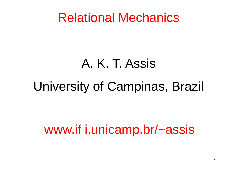## Relational Mechanics

# A. K. T. Assis

# University of Campinas, Brazil

# www.if i.unicamp.br/~assis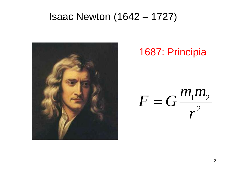### Isaac Newton (1642 – 1727)



### 1687: Principia

2  $1$ <sup> $1$ </sup> $2$ *r m m*  $F = G$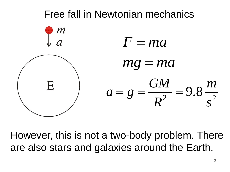

However, this is not a two-body problem. There are also stars and galaxies around the Earth.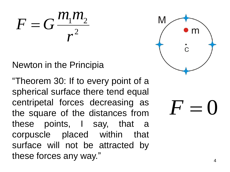$1$ <sup> $11$ </sup> $2$  $\frac{m_1 m_2}{r^2}$  $F = G$ 

### Newton in the Principia

"Theorem 30: If to every point of a spherical surface there tend equal centripetal forces decreasing as the square of the distances from these points , I say , that a corpuscle placed within that surface will not be attracted by these forces any way . "



 $F =$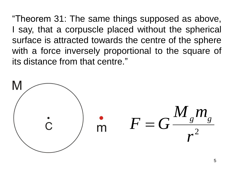"Theorem 31: The same things supposed as above, I say, that a corpuscle placed without the spherical surface is attracted towards the centre of the sphere with a force inversely proportional to the square of its distance from that centre."

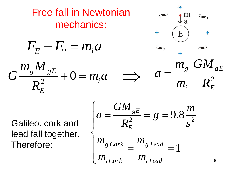| Free fall in Newtonian<br>mechanics:     |                                         |
|------------------------------------------|-----------------------------------------|
| $F_E + F_* = m_i a$                      | $\frac{m_s}{m}$                         |
| $G \frac{m_s M_{gE}}{R_E^2} + 0 = m_i a$ | $\frac{m_s}{m_i} \frac{GM_{gE}}{R_E^2}$ |

Galileo: cork and lead fall together. Therefore:

$$
\begin{cases}\na = \frac{GM_{gE}}{R_E^2} = g = 9.8 \frac{m}{s^2} \\
m_{g \text{Cork}} = \frac{m_{g \text{lead}}}{m_{i \text{Lead}}} = 1\n\end{cases}
$$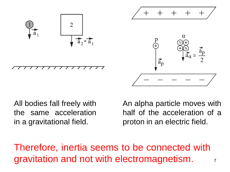

All bodies fall freely with the same acceleration in a gravitational field.

An alpha particle moves with half of the acceleration of a proton in an electric field.

Therefore, inertia seems to be connected with gravitation and not with electromagnetism.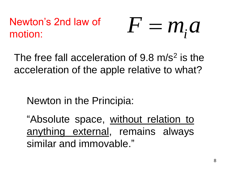### $F = m_i a$ Newton's 2nd law of motion:

The free fall acceleration of 9.8 m/s<sup>2</sup> is the acceleration of the apple relative to what?

Newton in the Principia:

"Absolute space, without relation to anything external, remains always similar and immovable."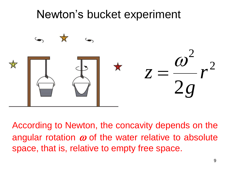## Newton's bucket experiment



According to Newton, the concavity depends on the angular rotation  $\omega$  of the water relative to absolute space, that is, relative to empty free space.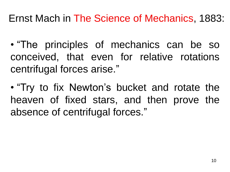### Ernst Mach in The Science of Mechanics, 1883:

- "The principles of mechanics can be so conceived, that even for relative rotations centrifugal forces arise."
- "Try to fix Newton's bucket and rotate the heaven of fixed stars, and then prove the absence of centrifugal forces."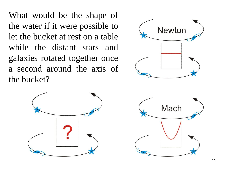What would be the shape of the water if it were possible to let the bucket at rest on a table while the distant stars and galaxies rotated together once a second around the axis of the bucket?





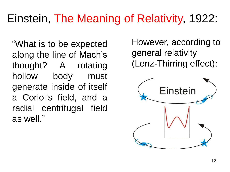## Einstein, The Meaning of Relativity, 1922:

"What is to be expected along the line of Mach's thought? A rotating hollow body must generate inside of itself a Coriolis field, and a radial centrifugal field as well."

However, according to general relativity (Lenz-Thirring effect):

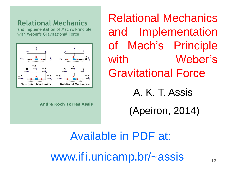#### **Relational Mechanics**

and Implementation of Mach's Principle with Weber's Gravitational Force



**Andre Koch Torres Assis** 

Relational Mechanics and Implementation of Mach's Principle with Weber's Gravitational Force A. K. T. Assis

(Apeiron, 2014)

Available in PDF at: www.ifi.unicamp.br/~assis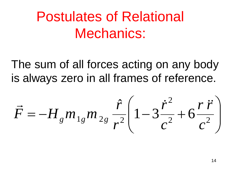# Postulates of Relational Mechanics:

The sum of all forces acting on any body is always zero in all frames of reference.

$$
\vec{F} = -H_{g}m_{1g}m_{2g}\frac{\hat{r}}{r^{2}}\left(1 - 3\frac{\dot{r}^{2}}{c^{2}} + 6\frac{r\,\dot{r}}{c^{2}}\right)
$$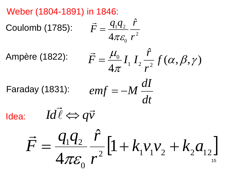Weber (1804-1891) in 1846:

Coulomb (1785):

$$
\vec{F} = \frac{q_1 q_2}{4\pi \varepsilon_0} \frac{\hat{r}}{r^2}
$$

Ampère (1822):

$$
\vec{F} = \frac{\mu_0}{4\pi} I_1 I_2 \frac{\hat{r}}{r^2} f(\alpha, \beta, \gamma)
$$

Faraday (1831): 
$$
emf = -M \frac{dI}{dt}
$$

Idea:

$$
Id\vec{l} \Leftrightarrow q\vec{v}
$$

$$
\vec{F} = \frac{q_1 q_2}{4\pi \varepsilon_0} \frac{\hat{r}}{r^2} \left[1 + k_1 v_1 v_2 + k_2 a_{12}\right]
$$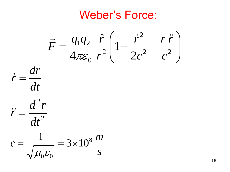## Weber's Force:

$$
\vec{F} = \frac{q_1 q_2}{4\pi\varepsilon_0} \frac{\hat{r}}{r^2} \left(1 - \frac{\dot{r}^2}{2c^2} + \frac{r \ddot{r}}{c^2}\right)
$$

$$
\dot{r} = \frac{dr}{dt}
$$

$$
\ddot{r} = \frac{d^2r}{dt^2}
$$

$$
c = \frac{1}{\sqrt{\mu_0 \varepsilon_0}} = 3 \times 10^8 \frac{m}{s}
$$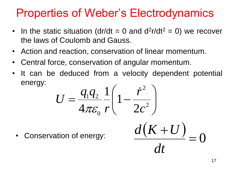## Properties of Weber's Electrodynamics

- In the static situation (dr/dt = 0 and  $d^2r/dt^2 = 0$ ) we recover the laws of Coulomb and Gauss.
- Action and reaction, conservation of linear momentum.
- Central force, conservation of angular momentum.
- It can be deduced from a velocity dependent potential energy:

$$
U = \frac{q_1 q_2}{4\pi\varepsilon_0} \frac{1}{r} \left(1 - \frac{\dot{r}^2}{2c^2}\right)
$$

Conservation of energy:

 $= 0$ 

 $(K+U)$ 

 $\ddag$ 

*dt*

 $d(K+U)$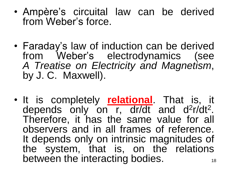- Ampère's circuital law can be derived from Weber's force.
- Faraday's law of induction can be derived from Weber's electrodynamics (see *A Treatise on Electricity and Magnetism*, by J. C.Maxwell).
- It is completely **relational**. That is, it depends only on r, dr/dt and d<sup>2</sup>r/dt<sup>2</sup>. Therefore, it has the same value for all observers and in all frames of reference. It depends only on intrinsic magnitudes of the system, that is, on the relations between the interacting bodies. The two states of the interacting bodies.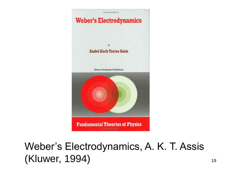

### Weber's Electrodynamics, A. K. T. Assis (Kluwer, 1994) 19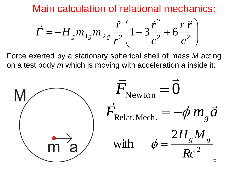Main calculation of relational mechanics:

$$
\vec{F} = -H_{g}m_{1g}m_{2g}\frac{\hat{r}}{r^{2}}\left(1 - 3\frac{\dot{r}^{2}}{c^{2}} + 6\frac{r\,\ddot{r}}{c^{2}}\right)
$$

Force exerted by a stationary spherical shell of mass *M* acting on a test body *m* which is moving with acceleration *a* inside it:

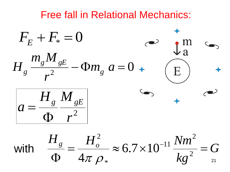### Free fall in Relational Mechanics:

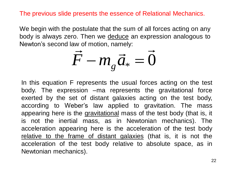The previous slide presents the essence of Relational Mechanics.

We begin with the postulate that the sum of all forces acting on any body is always zero. Then we deduce an expression analogous to Newton's second law of motion, namely:<br>  $\overrightarrow{L}$  $\rightarrow$  $\begin{array}{c} \overline{1} \\ \overline{1} \\ \overline{1} \\ \end{array}$ 

$$
\vec{F} - m_{g}\vec{a}_{*} = \vec{0}
$$

In this equation F represents the usual forces acting on the test body. The expression –ma represents the gravitational force exerted by the set of distant galaxies acting on the test body, according to Weber's law applied to gravitation. The mass appearing here is the gravitational mass of the test body (that is, it is not the inertial mass, as in Newtonian mechanics). The acceleration appearing here is the acceleration of the test body relative to the frame of distant galaxies (that is, it is not the acceleration of the test body relative to absolute space, as in Newtonian mechanics).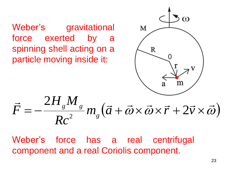Weber's gravitational force exerted by a spinning shell acting on a particle moving inside it:



$$
\vec{F} = -\frac{2H_s M_s}{Rc^2} m_s (\vec{a} + \vec{\omega} \times \vec{\omega} \times \vec{r} + 2\vec{v} \times \vec{\omega})
$$

Weber's force has a real centrifugal component and a real Coriolis component.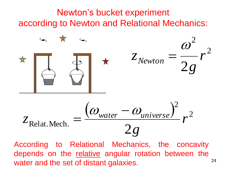### Newton's bucket experiment according to Newton and Relational Mechanics:



24 According to Relational Mechanics, the concavity depends on the relative angular rotation between the water and the set of distant galaxies.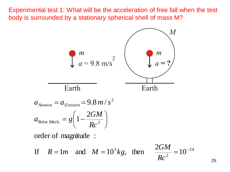Experimental test 1: What will be the acceleration of free fall when the test body is surrounded by a stationary spherical shell of mass M?



25

24

 $\overline{\phantom{a}}$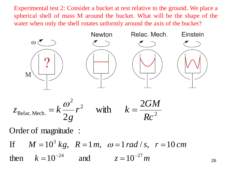Experimental test 2: Consider a bucket at rest relative to the ground. We place a spherical shell of mass M around the bucket. What will be the shape of the water when only the shell rotates unformly around the axis of the bucket?



$$
z_{\text{Relac.Mech.}} = k \frac{\omega^2}{2g} r^2 \quad \text{with} \quad k = \frac{2GM}{Rc^2}
$$

Order of magnitude :

then  $k = 10^{-24}$  and  $z = 10^{-27}$  *m Rc*<sup>2</sup><br> *c* of magnitude :<br> *M* = 10<sup>3</sup> *kg*, *R* = 1*m*,  $\omega$  = 1*rad* / *s*, *r* = 10 *cm* If  $M = 10^3 kg$ ,  $R = 1 m$ ,  $\omega = 1 rad/s$ ,  $r = 10$ <br>then  $k = 10^{-24}$  and  $z = 10^{-27} m$ 

26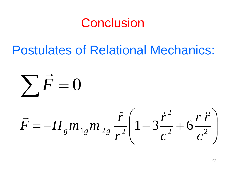# Conclusion

## Postulates of Relational Mechanics:

 $\overline{\phantom{a}}$   $\int$   $\overline{\phantom{a}}$  $\overline{\phantom{a}}$  $\setminus$  $\Big($  $=-H_{g}m_{1g}m_{2g}\frac{I}{r^{2}}\left(1-3\frac{I}{r^{2}}+6\frac{I}{r^{2}}\right)$ 2  $1 g'''' 2 g_{72}^2$  $1 - 3\frac{1}{2} + 6$  $\hat{r}$ *c r r c*  $\dot{r}$ *r r*  $\vec{F} = -H_{_{g}}m_{_{1g}}m_{_{2g}}$  $\vec{r}$   $\vec{r}$   $\hat{r}$   $\hat{r}^2$   $\hat{r}$   $\hat{r}$  $\sum \vec{F} = 0$  $\rightarrow$